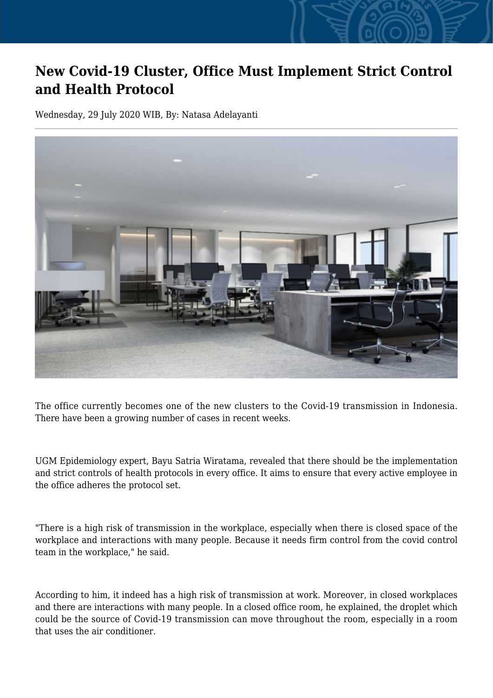## **New Covid-19 Cluster, Office Must Implement Strict Control and Health Protocol**

Wednesday, 29 July 2020 WIB, By: Natasa Adelayanti



The office currently becomes one of the new clusters to the Covid-19 transmission in Indonesia. There have been a growing number of cases in recent weeks.

UGM Epidemiology expert, Bayu Satria Wiratama, revealed that there should be the implementation and strict controls of health protocols in every office. It aims to ensure that every active employee in the office adheres the protocol set.

"There is a high risk of transmission in the workplace, especially when there is closed space of the workplace and interactions with many people. Because it needs firm control from the covid control team in the workplace," he said.

According to him, it indeed has a high risk of transmission at work. Moreover, in closed workplaces and there are interactions with many people. In a closed office room, he explained, the droplet which could be the source of Covid-19 transmission can move throughout the room, especially in a room that uses the air conditioner.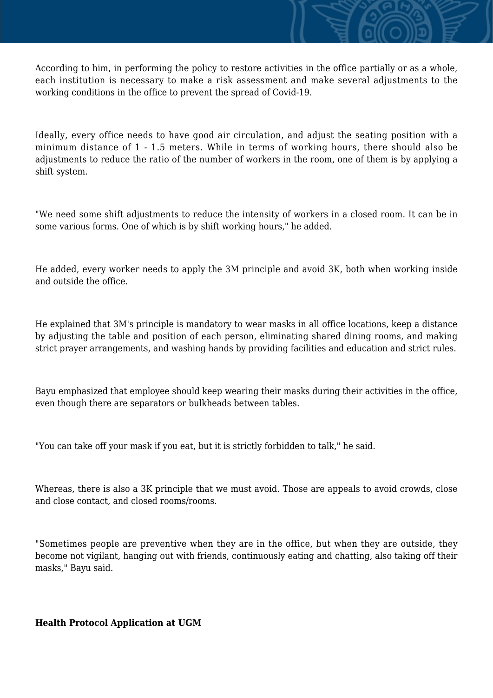According to him, in performing the policy to restore activities in the office partially or as a whole, each institution is necessary to make a risk assessment and make several adjustments to the working conditions in the office to prevent the spread of Covid-19.

Ideally, every office needs to have good air circulation, and adjust the seating position with a minimum distance of 1 - 1.5 meters. While in terms of working hours, there should also be adjustments to reduce the ratio of the number of workers in the room, one of them is by applying a shift system.

"We need some shift adjustments to reduce the intensity of workers in a closed room. It can be in some various forms. One of which is by shift working hours," he added.

He added, every worker needs to apply the 3M principle and avoid 3K, both when working inside and outside the office.

He explained that 3M's principle is mandatory to wear masks in all office locations, keep a distance by adjusting the table and position of each person, eliminating shared dining rooms, and making strict prayer arrangements, and washing hands by providing facilities and education and strict rules.

Bayu emphasized that employee should keep wearing their masks during their activities in the office, even though there are separators or bulkheads between tables.

"You can take off your mask if you eat, but it is strictly forbidden to talk," he said.

Whereas, there is also a 3K principle that we must avoid. Those are appeals to avoid crowds, close and close contact, and closed rooms/rooms.

"Sometimes people are preventive when they are in the office, but when they are outside, they become not vigilant, hanging out with friends, continuously eating and chatting, also taking off their masks," Bayu said.

## **Health Protocol Application at UGM**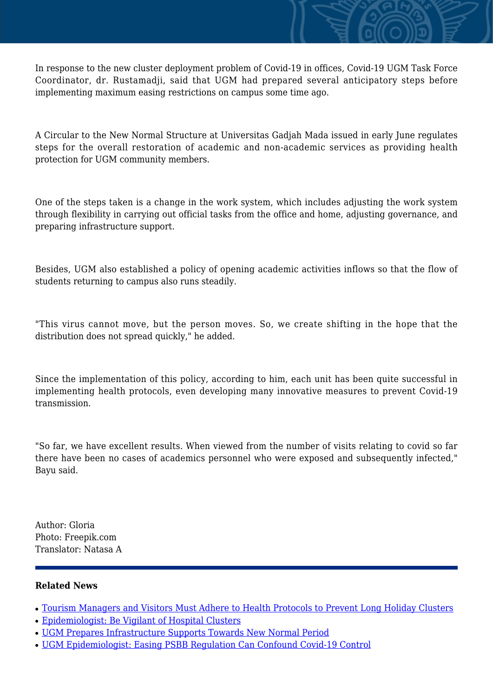In response to the new cluster deployment problem of Covid-19 in offices, Covid-19 UGM Task Force Coordinator, dr. Rustamadji, said that UGM had prepared several anticipatory steps before implementing maximum easing restrictions on campus some time ago.

A Circular to the New Normal Structure at Universitas Gadjah Mada issued in early June regulates steps for the overall restoration of academic and non-academic services as providing health protection for UGM community members.

One of the steps taken is a change in the work system, which includes adjusting the work system through flexibility in carrying out official tasks from the office and home, adjusting governance, and preparing infrastructure support.

Besides, UGM also established a policy of opening academic activities inflows so that the flow of students returning to campus also runs steadily.

"This virus cannot move, but the person moves. So, we create shifting in the hope that the distribution does not spread quickly," he added.

Since the implementation of this policy, according to him, each unit has been quite successful in implementing health protocols, even developing many innovative measures to prevent Covid-19 transmission.

"So far, we have excellent results. When viewed from the number of visits relating to covid so far there have been no cases of academics personnel who were exposed and subsequently infected." Bayu said.

Author: Gloria Photo: Freepik.com Translator: Natasa A

## **Related News**

- [Tourism Managers and Visitors Must Adhere to Health Protocols to Prevent Long Holiday Clusters](http://ugm.ac.id/www.ugm.ac.id//en/news/19518-ugm-prepares-infrastructure-supports-towards-new-normal-period)
- [Epidemiologist: Be Vigilant of Hospital Clusters](http://ugm.ac.id/www.ugm.ac.id//en/news/19476-ugm-epidemiologist-easing-psbb-regulation-can-confound-covid-19-control)
- [UGM Prepares Infrastructure Supports Towards New Normal Period](http://ugm.ac.id/www.ugm.ac.id//en/news/20072-ugm-epidemiologist-beware-of-evacuees-cluster-potential-during-pandemic)
- [UGM Epidemiologist: Easing PSBB Regulation Can Confound Covid-19 Control](http://ugm.ac.id/www.ugm.ac.id//en/news/20003-tourism-managers-and-visitors-must-adhere-to-health-protocols-to-prevent-long-holiday-clusters)